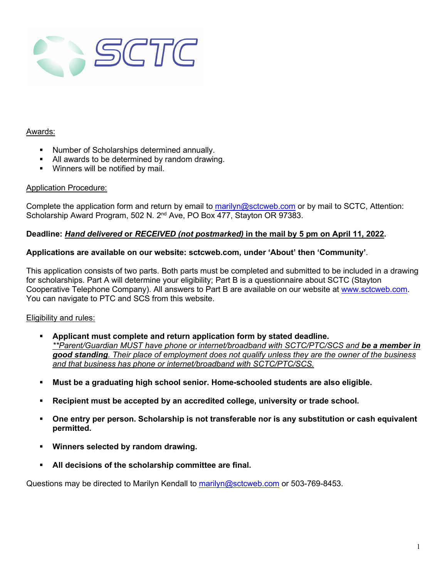

### Awards:

- Number of Scholarships determined annually.
- All awards to be determined by random drawing.
- **Winners will be notified by mail.**

### Application Procedure:

Complete the application form and return by email to [marilyn@sctcweb.com](mailto:marilyn@sctcweb.com) or by mail to SCTC, Attention: Scholarship Award Program, 502 N. 2<sup>nd</sup> Ave, PO Box 477, Stayton OR 97383.

### **Deadline:** *Hand delivered* **or** *RECEIVED (not postmarked)* **in the mail by 5 pm on April 11, 2022.**

### **Applications are available on our website: sctcweb.com, under 'About' then 'Community'**.

This application consists of two parts. Both parts must be completed and submitted to be included in a drawing for scholarships. Part A will determine your eligibility; Part B is a questionnaire about SCTC (Stayton Cooperative Telephone Company). All answers to Part B are available on our website at [www.sctcweb.com.](http://www.sctcweb.com/) You can navigate to PTC and SCS from this website.

### Eligibility and rules:

- **Applicant must complete and return application form by stated deadline.** *\*\*Parent/Guardian MUST have phone or internet/broadband with SCTC/PTC/SCS and be a member in good standing. Their place of employment does not qualify unless they are the owner of the business and that business has phone or internet/broadband with SCTC/PTC/SCS.*
- **Must be a graduating high school senior. Home-schooled students are also eligible.**
- **Recipient must be accepted by an accredited college, university or trade school.**
- **One entry per person. Scholarship is not transferable nor is any substitution or cash equivalent permitted.**
- **Winners selected by random drawing.**
- **All decisions of the scholarship committee are final.**

Questions may be directed to Marilyn Kendall to [marilyn@sctcweb.com](mailto:marilyn@sctcweb.com) or 503-769-8453.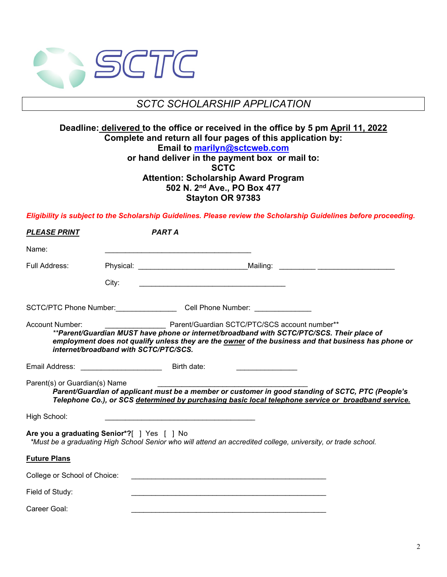

# *SCTC SCHOLARSHIP APPLICATION*

## **Deadline: delivered to the office or received in the office by 5 pm April 11, 2022 Complete and return all four pages of this application by: Email to [marilyn@sctcweb.com](mailto:marilyn@sctcweb.com)  or hand deliver in the payment box or mail to: SCTC Attention: Scholarship Award Program 502 N. 2nd Ave., PO Box 477 Stayton OR 97383**

*Eligibility is subject to the Scholarship Guidelines. Please review the Scholarship Guidelines before proceeding.*

| <b>PLEASE PRINT</b>           |                                             | <b>PART A</b> |                                                                                                                                            |                                                                                                                                                                                                          |
|-------------------------------|---------------------------------------------|---------------|--------------------------------------------------------------------------------------------------------------------------------------------|----------------------------------------------------------------------------------------------------------------------------------------------------------------------------------------------------------|
| Name:                         |                                             |               |                                                                                                                                            |                                                                                                                                                                                                          |
| Full Address:                 |                                             |               |                                                                                                                                            |                                                                                                                                                                                                          |
|                               | City:                                       |               |                                                                                                                                            |                                                                                                                                                                                                          |
|                               |                                             |               | SCTC/PTC Phone Number: Cell Phone Number:                                                                                                  |                                                                                                                                                                                                          |
| Account Number:               | internet/broadband with SCTC/PTC/SCS.       |               | Parent/Guardian SCTC/PTC/SCS account number**<br>**Parent/Guardian MUST have phone or internet/broadband with SCTC/PTC/SCS. Their place of | employment does not qualify unless they are the owner of the business and that business has phone or                                                                                                     |
|                               | Email Address: _______________________      | Birth date:   | the control of the control of the control of                                                                                               |                                                                                                                                                                                                          |
| Parent(s) or Guardian(s) Name |                                             |               |                                                                                                                                            | Parent/Guardian of applicant must be a member or customer in good standing of SCTC, PTC (People's<br>Telephone Co.), or SCS determined by purchasing basic local telephone service or broadband service. |
| High School:                  |                                             |               |                                                                                                                                            |                                                                                                                                                                                                          |
|                               | Are you a graduating Senior*?[ ] Yes [ ] No |               | *Must be a graduating High School Senior who will attend an accredited college, university, or trade school.                               |                                                                                                                                                                                                          |
| <b>Future Plans</b>           |                                             |               |                                                                                                                                            |                                                                                                                                                                                                          |
| College or School of Choice:  |                                             |               |                                                                                                                                            |                                                                                                                                                                                                          |
| Field of Study:               |                                             |               |                                                                                                                                            |                                                                                                                                                                                                          |
| Career Goal:                  |                                             |               |                                                                                                                                            |                                                                                                                                                                                                          |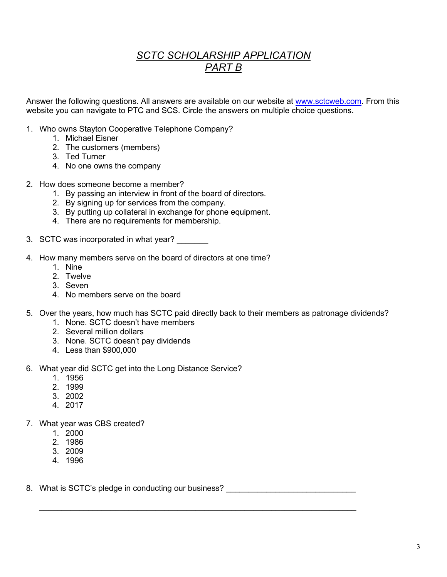# *SCTC SCHOLARSHIP APPLICATION PART B*

Answer the following questions. All answers are available on our website at [www.sctcweb.com.](http://www.sctcweb.com/) From this website you can navigate to PTC and SCS. Circle the answers on multiple choice questions.

- 1. Who owns Stayton Cooperative Telephone Company?
	- 1. Michael Eisner
	- 2. The customers (members)
	- 3. Ted Turner
	- 4. No one owns the company
- 2. How does someone become a member?
	- 1. By passing an interview in front of the board of directors.
	- 2. By signing up for services from the company.
	- 3. By putting up collateral in exchange for phone equipment.
	- 4. There are no requirements for membership.
- 3. SCTC was incorporated in what year?
- 4. How many members serve on the board of directors at one time?
	- 1. Nine
	- 2. Twelve
	- 3. Seven
	- 4. No members serve on the board
- 5. Over the years, how much has SCTC paid directly back to their members as patronage dividends?

 $\_$  , and the set of the set of the set of the set of the set of the set of the set of the set of the set of the set of the set of the set of the set of the set of the set of the set of the set of the set of the set of th

- 1. None. SCTC doesn't have members
- 2. Several million dollars
- 3. None. SCTC doesn't pay dividends
- 4. Less than \$900,000
- 6. What year did SCTC get into the Long Distance Service?
	- 1. 1956
	- 2. 1999
	- 3. 2002
	- 4. 2017
- 7. What year was CBS created?
	- 1. 2000
	- 2. 1986
	- 3. 2009
	- 4. 1996
- 8. What is SCTC's pledge in conducting our business? \_\_\_\_\_\_\_\_\_\_\_\_\_\_\_\_\_\_\_\_\_\_\_\_\_\_\_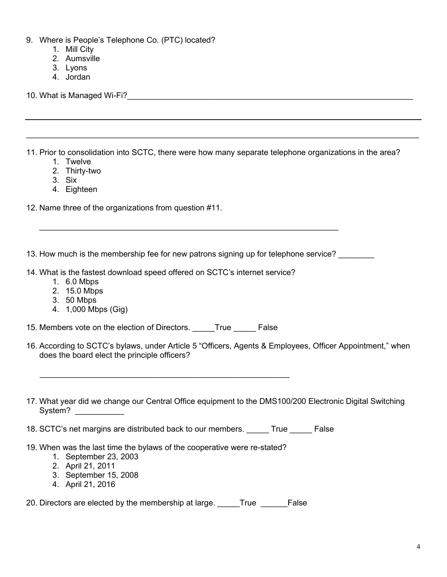- 9. Where is People's Telephone Co. (PTC) located?
	- 1. Mill City
	- 2. Aumsville
	- 3. Lyons
	- 4. Jordan

10. What is Managed Wi-Fi? The contract of the contract of the contract of the contract of the contract of the

11. Prior to consolidation into SCTC, there were how many separate telephone organizations in the area?

 $\_$  , and the set of the set of the set of the set of the set of the set of the set of the set of the set of the set of the set of the set of the set of the set of the set of the set of the set of the set of the set of th

- 1. Twelve
- 2. Thirty-two
- 3. Six
- 4. Eighteen

12. Name three of the organizations from question #11.

13. How much is the membership fee for new patrons signing up for telephone service?

\_\_\_\_\_\_\_\_\_\_\_\_\_\_\_\_\_\_\_\_\_\_\_\_\_\_\_\_\_\_\_\_\_\_\_\_\_\_\_\_\_\_\_\_\_\_\_\_\_\_\_\_\_\_\_\_\_\_\_\_\_\_\_\_\_\_\_

- 14. What is the fastest download speed offered on SCTC's internet service?
	- 1. 6.0 Mbps
	- 2. 15.0 Mbps
	- 3. 50 Mbps
	- 4. 1,000 Mbps (Gig)

15. Members vote on the election of Directors. \_\_\_\_\_True \_\_\_\_\_\_ False

 $\frac{1}{2}$  ,  $\frac{1}{2}$  ,  $\frac{1}{2}$  ,  $\frac{1}{2}$  ,  $\frac{1}{2}$  ,  $\frac{1}{2}$  ,  $\frac{1}{2}$  ,  $\frac{1}{2}$  ,  $\frac{1}{2}$  ,  $\frac{1}{2}$  ,  $\frac{1}{2}$  ,  $\frac{1}{2}$  ,  $\frac{1}{2}$  ,  $\frac{1}{2}$  ,  $\frac{1}{2}$  ,  $\frac{1}{2}$  ,  $\frac{1}{2}$  ,  $\frac{1}{2}$  ,  $\frac{1$ 

- 16. According to SCTC's bylaws, under Article 5 "Officers, Agents & Employees, Officer Appointment," when does the board elect the principle officers?
- 17. What year did we change our Central Office equipment to the DMS100/200 Electronic Digital Switching System? \_\_\_\_\_\_\_\_\_\_\_\_

18. SCTC's net margins are distributed back to our members. True False

- 19. When was the last time the bylaws of the cooperative were re-stated?
	- 1. September 23, 2003
	- 2. April 21, 2011
	- 3. September 15, 2008
	- 4. April 21, 2016

20. Directors are elected by the membership at large. True False